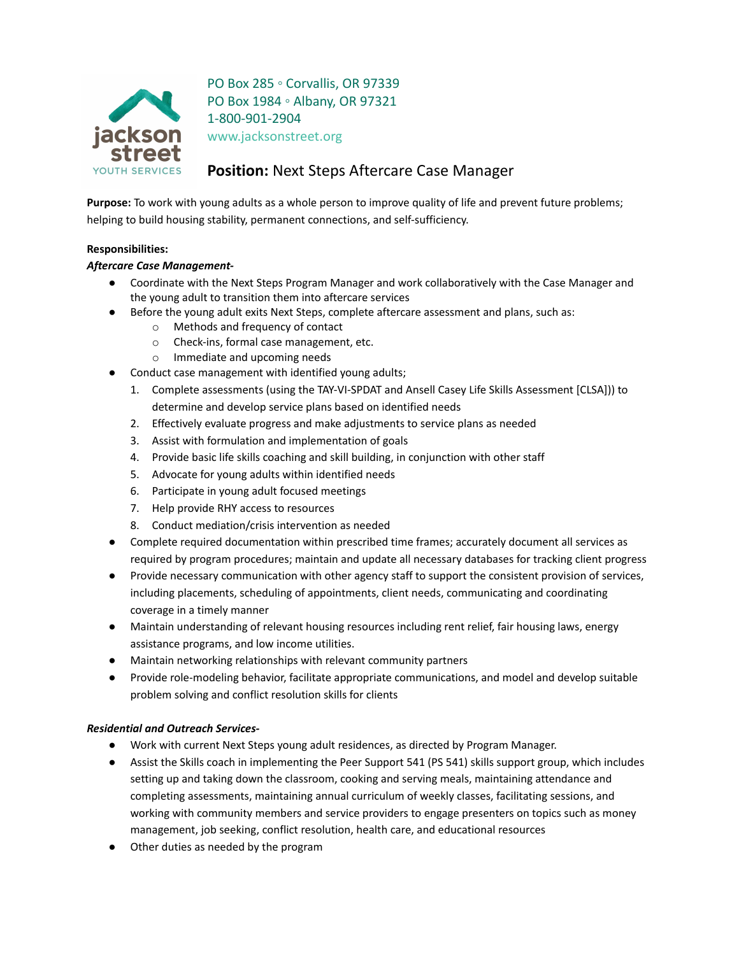

PO Box 285 ◦ Corvallis, OR 97339 PO Box 1984 ◦ Albany, OR 97321 1-800-901-2904 www.jacksonstreet.org

# **Position:** Next Steps Aftercare Case Manager

**Purpose:** To work with young adults as a whole person to improve quality of life and prevent future problems; helping to build housing stability, permanent connections, and self-sufficiency.

## **Responsibilities:**

## *Aftercare Case Management-*

- Coordinate with the Next Steps Program Manager and work collaboratively with the Case Manager and the young adult to transition them into aftercare services
- Before the young adult exits Next Steps, complete aftercare assessment and plans, such as:
	- o Methods and frequency of contact
	- o Check-ins, formal case management, etc.
	- o Immediate and upcoming needs
- Conduct case management with identified young adults;
	- 1. Complete assessments (using the TAY-VI-SPDAT and Ansell Casey Life Skills Assessment [CLSA])) to determine and develop service plans based on identified needs
	- 2. Effectively evaluate progress and make adjustments to service plans as needed
	- 3. Assist with formulation and implementation of goals
	- 4. Provide basic life skills coaching and skill building, in conjunction with other staff
	- 5. Advocate for young adults within identified needs
	- 6. Participate in young adult focused meetings
	- 7. Help provide RHY access to resources
	- 8. Conduct mediation/crisis intervention as needed
- Complete required documentation within prescribed time frames; accurately document all services as required by program procedures; maintain and update all necessary databases for tracking client progress
- Provide necessary communication with other agency staff to support the consistent provision of services, including placements, scheduling of appointments, client needs, communicating and coordinating coverage in a timely manner
- Maintain understanding of relevant housing resources including rent relief, fair housing laws, energy assistance programs, and low income utilities.
- Maintain networking relationships with relevant community partners
- Provide role-modeling behavior, facilitate appropriate communications, and model and develop suitable problem solving and conflict resolution skills for clients

### *Residential and Outreach Services-*

- Work with current Next Steps young adult residences, as directed by Program Manager.
- Assist the Skills coach in implementing the Peer Support 541 (PS 541) skills support group, which includes setting up and taking down the classroom, cooking and serving meals, maintaining attendance and completing assessments, maintaining annual curriculum of weekly classes, facilitating sessions, and working with community members and service providers to engage presenters on topics such as money management, job seeking, conflict resolution, health care, and educational resources
- Other duties as needed by the program